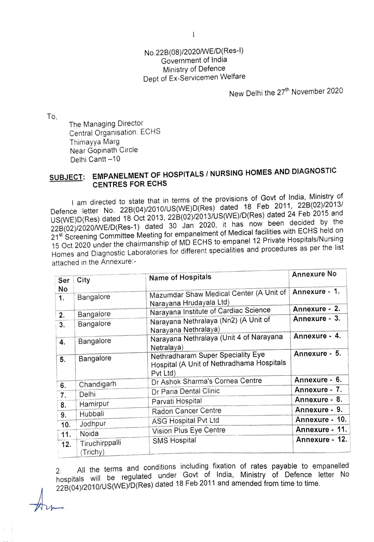## No.228(08)/2020/WE/D(Res-l) Government of India Ministry of Defence Dept of Ex-Servicemen Welfare

New Delhi the 27<sup>th</sup> November 2020

To,

The Managing Director Central Organisation, ECHS Thimayya Marg Near Gopinath Circle Delhi Cantt -10

## **SUBJECT: EMPANELMENT OF HOSPITALS/ NURSING HOMES AND DIAGNOSTIC CENTRES FOR ECHS**

I am directed to state that in terms of the provisions of Govt of India, Ministry of Defence letter No. 228(04)/2010/US(WE)D(Res) dated 18 Feb 2011, 228(02)/2013/ US(WE)D(Res) dated 18 Oct 2013, 228(02)/2013/US(WE)/D(Res) dated 24 Feb 2015 and 228(02)/2020/WE/D(Res-1) dated 30 Jan 2020, it has now been decided by the 21<sup>st</sup> Screening Committee Meeting for empanelment of Medical facilities with ECHS held on 15 Oct 2020 under the chairmanship of MD ECHS to empanel 12 Private Hospitals/Nursing Homes and Diagnostic Laboratories for different specialities and procedures as per the list attached in the Annexure:-

| Ser      | City                       | Name of Hospitals                                                                          | <b>Annexure No</b> |
|----------|----------------------------|--------------------------------------------------------------------------------------------|--------------------|
| No<br>1. | Bangalore                  | Mazumdar Shaw Medical Center (A Unit of                                                    | Annexure - 1.      |
| 2.       | Bangalore                  | Narayana Hrudayala Ltd)<br>Narayana Institute of Cardiac Science                           | Annexure - 2.      |
| 3.       | Bangalore                  | Narayana Nethralaya (Nn2) (A Unit of<br>Narayana Nethralaya)                               | Annexure - 3.      |
| 4.       | Bangalore                  | Narayana Nethralaya (Unit 4 of Narayana<br>Netralaya)                                      | Annexure - 4.      |
| 5.       | Bangalore                  | Nethradharam Super Speciality Eye<br>Hospital (A Unit of Nethradhama Hospitals<br>Pyt Ltd) | Annexure - 5.      |
|          | Chandigarh                 | Dr Ashok Sharma's Cornea Centre                                                            | Annexure - 6.      |
| 6.<br>7. | Delhi                      | Dr Paria Dental Clinic                                                                     | Annexure - 7.      |
| 8.       | Hamirpur                   | Parvati Hospital                                                                           | Annexure - 8.      |
| 9.       | Hubbali                    | Radon Cancer Centre                                                                        | Annexure - 9.      |
| 10.      | Jodhpur                    | <b>ASG Hospital Pvt Ltd</b>                                                                | Annexure - 10.     |
| 11.      | Noida                      | Vision Plus Eye Centre                                                                     | Annexure - 11.     |
| 12.      | Tiruchirppalli<br>(Trichy) | <b>SMS Hospital</b>                                                                        | Annexure - 12.     |

All the terms and conditions including fixation of rates payable to empanelled hospitals will be regulated under Govt of India, Ministry of Defence letter No mospitulo will use the states dated 18 Feb 2011 and amended from time to time.